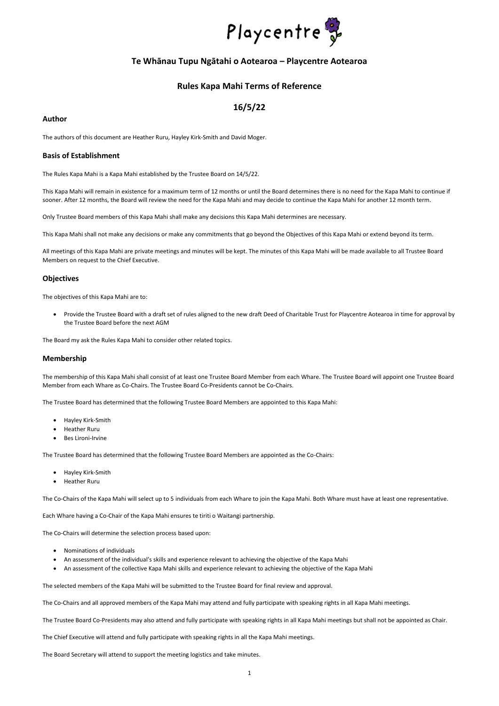1



# **Te Whānau Tupu Ngātahi o Aotearoa – Playcentre Aotearoa**

# **Rules Kapa Mahi Terms of Reference**

# **16/5/22**

#### **Author**

The authors of this document are Heather Ruru, Hayley Kirk-Smith and David Moger.

## **Basis of Establishment**

The Rules Kapa Mahi is a Kapa Mahi established by the Trustee Board on 14/5/22.

This Kapa Mahi will remain in existence for a maximum term of 12 months or until the Board determines there is no need for the Kapa Mahi to continue if sooner. After 12 months, the Board will review the need for the Kapa Mahi and may decide to continue the Kapa Mahi for another 12 month term.

Only Trustee Board members of this Kapa Mahi shall make any decisions this Kapa Mahi determines are necessary.

This Kapa Mahi shall not make any decisions or make any commitments that go beyond the Objectives of this Kapa Mahi or extend beyond its term.

All meetings of this Kapa Mahi are private meetings and minutes will be kept. The minutes of this Kapa Mahi will be made available to all Trustee Board Members on request to the Chief Executive.

## **Objectives**

The objectives of this Kapa Mahi are to:

• Provide the Trustee Board with a draft set of rules aligned to the new draft Deed of Charitable Trust for Playcentre Aotearoa in time for approval by the Trustee Board before the next AGM

The Board my ask the Rules Kapa Mahi to consider other related topics.

## **Membership**

The membership of this Kapa Mahi shall consist of at least one Trustee Board Member from each Whare. The Trustee Board will appoint one Trustee Board Member from each Whare as Co-Chairs. The Trustee Board Co-Presidents cannot be Co-Chairs.

The Trustee Board has determined that the following Trustee Board Members are appointed to this Kapa Mahi:

- Hayley Kirk-Smith
- Heather Ruru
- Bes Lironi-Irvine

The Trustee Board has determined that the following Trustee Board Members are appointed as the Co-Chairs:

- Hayley Kirk-Smith
- Heather Ruru

The Co-Chairs of the Kapa Mahi will select up to 5 individuals from each Whare to join the Kapa Mahi. Both Whare must have at least one representative.

Each Whare having a Co-Chair of the Kapa Mahi ensures te tiriti o Waitangi partnership.

The Co-Chairs will determine the selection process based upon:

- Nominations of individuals
- An assessment of the individual's skills and experience relevant to achieving the objective of the Kapa Mahi
- An assessment of the collective Kapa Mahi skills and experience relevant to achieving the objective of the Kapa Mahi

The selected members of the Kapa Mahi will be submitted to the Trustee Board for final review and approval.

The Co-Chairs and all approved members of the Kapa Mahi may attend and fully participate with speaking rights in all Kapa Mahi meetings.

The Trustee Board Co-Presidents may also attend and fully participate with speaking rights in all Kapa Mahi meetings but shall not be appointed as Chair.

The Chief Executive will attend and fully participate with speaking rights in all the Kapa Mahi meetings.

The Board Secretary will attend to support the meeting logistics and take minutes.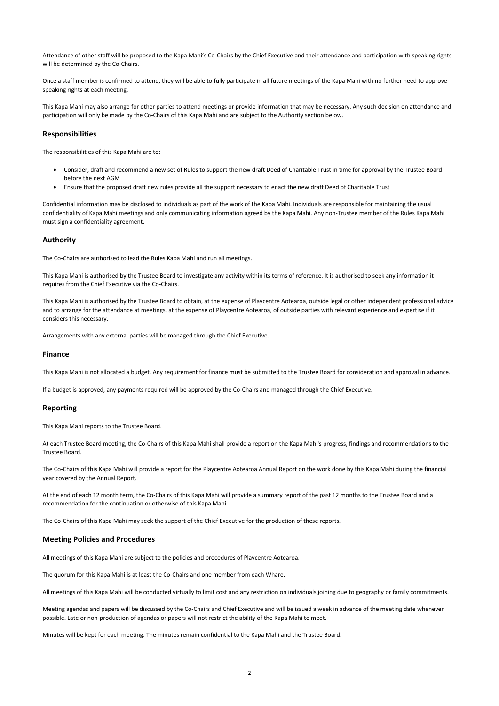2

Attendance of other staff will be proposed to the Kapa Mahi's Co-Chairs by the Chief Executive and their attendance and participation with speaking rights will be determined by the Co-Chairs.

Once a staff member is confirmed to attend, they will be able to fully participate in all future meetings of the Kapa Mahi with no further need to approve speaking rights at each meeting.

This Kapa Mahi may also arrange for other parties to attend meetings or provide information that may be necessary. Any such decision on attendance and participation will only be made by the Co-Chairs of this Kapa Mahi and are subject to the Authority section below.

#### **Responsibilities**

The responsibilities of this Kapa Mahi are to:

- Consider, draft and recommend a new set of Rules to support the new draft Deed of Charitable Trust in time for approval by the Trustee Board before the next AGM
- Ensure that the proposed draft new rules provide all the support necessary to enact the new draft Deed of Charitable Trust

Confidential information may be disclosed to individuals as part of the work of the Kapa Mahi. Individuals are responsible for maintaining the usual confidentiality of Kapa Mahi meetings and only communicating information agreed by the Kapa Mahi. Any non-Trustee member of the Rules Kapa Mahi must sign a confidentiality agreement.

#### **Authority**

The Co-Chairs are authorised to lead the Rules Kapa Mahi and run all meetings.

This Kapa Mahi is authorised by the Trustee Board to investigate any activity within its terms of reference. It is authorised to seek any information it requires from the Chief Executive via the Co-Chairs.

This Kapa Mahi is authorised by the Trustee Board to obtain, at the expense of Playcentre Aotearoa, outside legal or other independent professional advice and to arrange for the attendance at meetings, at the expense of Playcentre Aotearoa, of outside parties with relevant experience and expertise if it considers this necessary.

Arrangements with any external parties will be managed through the Chief Executive.

#### **Finance**

This Kapa Mahi is not allocated a budget. Any requirement for finance must be submitted to the Trustee Board for consideration and approval in advance.

If a budget is approved, any payments required will be approved by the Co-Chairs and managed through the Chief Executive.

#### **Reporting**

This Kapa Mahi reports to the Trustee Board.

At each Trustee Board meeting, the Co-Chairs of this Kapa Mahi shall provide a report on the Kapa Mahi's progress, findings and recommendations to the Trustee Board.

The Co-Chairs of this Kapa Mahi will provide a report for the Playcentre Aotearoa Annual Report on the work done by this Kapa Mahi during the financial year covered by the Annual Report.

At the end of each 12 month term, the Co-Chairs of this Kapa Mahi will provide a summary report of the past 12 months to the Trustee Board and a recommendation for the continuation or otherwise of this Kapa Mahi.

The Co-Chairs of this Kapa Mahi may seek the support of the Chief Executive for the production of these reports.

## **Meeting Policies and Procedures**

All meetings of this Kapa Mahi are subject to the policies and procedures of Playcentre Aotearoa.

The quorum for this Kapa Mahi is at least the Co-Chairs and one member from each Whare.

All meetings of this Kapa Mahi will be conducted virtually to limit cost and any restriction on individuals joining due to geography or family commitments.

Meeting agendas and papers will be discussed by the Co-Chairs and Chief Executive and will be issued a week in advance of the meeting date whenever possible. Late or non-production of agendas or papers will not restrict the ability of the Kapa Mahi to meet.

Minutes will be kept for each meeting. The minutes remain confidential to the Kapa Mahi and the Trustee Board.